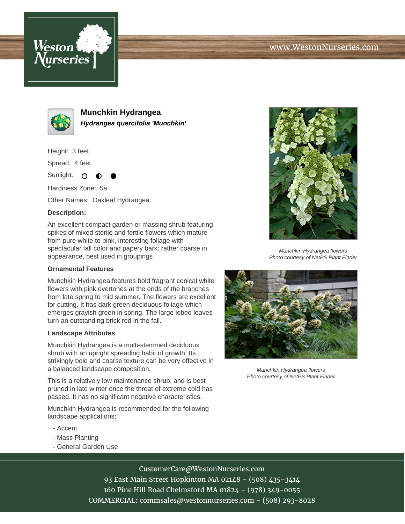



**Munchkin Hydrangea Hydrangea quercifolia 'Munchkin'**

Height: 3 feet

Spread: 4 feet

Sunlight: O

Hardiness Zone: 5a

Other Names: Oakleaf Hydrangea

## **Description:**

An excellent compact garden or massing shrub featuring spikes of mixed sterile and fertile flowers which mature from pure white to pink, interesting foliage with spectacular fall color and papery bark; rather coarse in appearance, best used in groupings

## **Ornamental Features**

Munchkin Hydrangea features bold fragrant conical white flowers with pink overtones at the ends of the branches from late spring to mid summer. The flowers are excellent for cutting. It has dark green deciduous foliage which emerges grayish green in spring. The large lobed leaves turn an outstanding brick red in the fall.

## **Landscape Attributes**

Munchkin Hydrangea is a multi-stemmed deciduous shrub with an upright spreading habit of growth. Its strikingly bold and coarse texture can be very effective in a balanced landscape composition.

This is a relatively low maintenance shrub, and is best pruned in late winter once the threat of extreme cold has passed. It has no significant negative characteristics.

Munchkin Hydrangea is recommended for the following landscape applications;

- Accent
- Mass Planting
- General Garden Use



Munchkin Hydrangea flowers Photo courtesy of NetPS Plant Finder



Munchkin Hydrangea flowers Photo courtesy of NetPS Plant Finder

CustomerCare@WestonNurseries.com

93 East Main Street Hopkinton MA 02148 - (508) 435-3414 160 Pine Hill Road Chelmsford MA 01824 - (978) 349-0055 COMMERCIAL: commsales@westonnurseries.com - (508) 293-8028